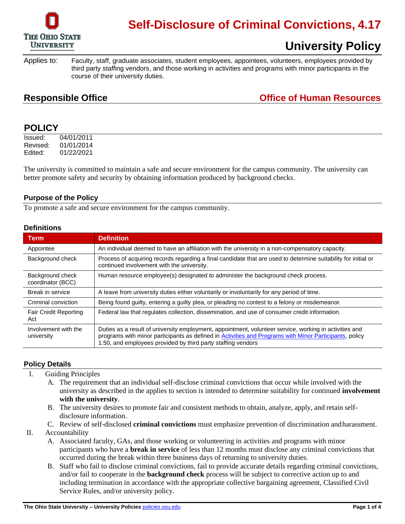

# **Self-Disclosure of Criminal Convictions, 4.17**

 third party staffing vendors, and those working in activities and programs with minor participants in the Applies to: Faculty, staff, graduate associates, student employees, appointees, volunteers, employees provided by course of their university duties.

### **Responsible Office Construction Construction Construction Construction Construction Construction Construction Construction Construction Construction Construction Construction Construction Construction Construction Cons**

**University Policy** 

### **POLICY**

Issued: 04/01/2011 Revised: 01/01/2014 Edited: 01/22/2021

The university is committed to maintain a safe and secure environment for the campus community. The university can better promote safety and security by obtaining information produced by background checks.

### **Purpose of the Policy**

To promote a safe and secure environment for the campus community.

#### **Definitions**

| Term                                  | <b>Definition</b>                                                                                                                                                                                                                                                                |  |
|---------------------------------------|----------------------------------------------------------------------------------------------------------------------------------------------------------------------------------------------------------------------------------------------------------------------------------|--|
| Appointee                             | An individual deemed to have an affiliation with the university in a non-compensatory capacity.                                                                                                                                                                                  |  |
| Background check                      | Process of acquiring records regarding a final candidate that are used to determine suitability for initial or<br>continued involvement with the university.                                                                                                                     |  |
| Background check<br>coordinator (BCC) | Human resource employee(s) designated to administer the background check process.                                                                                                                                                                                                |  |
| Break in service                      | A leave from university duties either voluntarily or involuntarily for any period of time.                                                                                                                                                                                       |  |
| Criminal conviction                   | Being found guilty, entering a guilty plea, or pleading no contest to a felony or misdemeanor.                                                                                                                                                                                   |  |
| <b>Fair Credit Reporting</b><br>Act   | Federal law that regulates collection, dissemination, and use of consumer credit information.                                                                                                                                                                                    |  |
| Involvement with the<br>university    | Duties as a result of university employment, appointment, volunteer service, working in activities and<br>programs with minor participants as defined in Activities and Programs with Minor Participants, policy<br>1.50, and employees provided by third party staffing vendors |  |

#### **Policy Details**

- I. Guiding Principles
	- A. The requirement that an individual self-disclose criminal convictions that occur while involved with the university as described in the applies to section is intended to determine suitability for continued **involvement with the university**.
	- B. The university desires to promote fair and consistent methods to obtain, analyze, apply, and retain selfdisclosure information.
	- C. Review of self-disclosed **criminal convictions** must emphasize prevention of discrimination andharassment.
- II. Accountability
	- A. Associated faculty, GAs, and those working or volunteering in activities and programs with minor participants who have a **break in service** of less than 12 months must disclose any criminal convictions that occurred during the break within three business days of returning to university duties.
	- B. Staff who fail to disclose criminal convictions, fail to provide accurate details regarding criminal convictions, and/or fail to cooperate in the **background check** process will be subject to corrective action up to and including termination in accordance with the appropriate collective bargaining agreement, Classified Civil Service Rules, and/or university policy.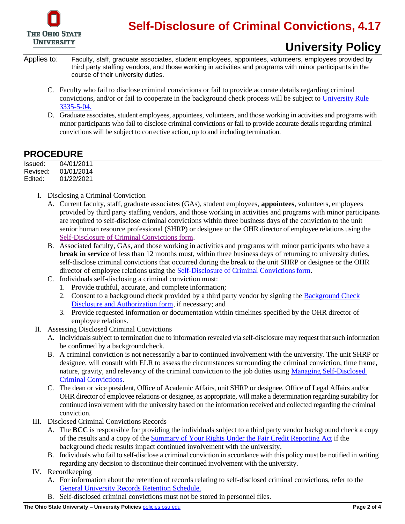

# **University Policy**

- third party staffing vendors, and those working in activities and programs with minor participants in the Applies to: Faculty, staff, graduate associates, student employees, appointees, volunteers, employees provided by course of their university duties.
	- C. Faculty who fail to disclose criminal convictions or fail to provide accurate details regarding criminal convictions, and/or or fail to cooperate in the background check process will be subject to University Rule 3335-5-04.
	- minor participants who fail to disclose criminal convictions or fail to provide accurate details regarding criminal D. Graduate associates, student employees, appointees, volunteers, and those working in activities and programs with convictions will be subject to corrective action, up to and including termination.

### **PROCEDURE**

| Issued:  | 04/01/2011 |
|----------|------------|
| Revised: | 01/01/2014 |
| Edited:  | 01/22/2021 |

- I. Disclosing a Criminal Conviction
	- are required to self-disclose criminal convictions within three business days of the conviction to the unit senior human resource professional (SHRP) or designee or the OHR director of employee relations using the A. Current faculty, staff, graduate associates (GAs), student employees, **appointees**, volunteers, employees provided by third party staffing vendors, and those working in activities and programs with minor participants [Self-Disclosure of Criminal Convictions form.](https://hr.osu.edu/wp-content/uploads/form-self-disclosure-criminal-convictions.pdf)
	- **break in service** of less than 12 months must, within three business days of returning to university duties, self-disclose criminal convictions that occurred during the break to the unit SHRP or designee or the OHR B. Associated faculty, GAs, and those working in activities and programs with minor participants who have a director of employee relations using th[e Self-Disclosure of Criminal Convictions form.](https://hr.osu.edu/wp-content/uploads/form-self-disclosure-criminal-convictions.pdf)
	- C. Individuals self-disclosing a criminal conviction must:
		- 1. Provide truthful, accurate, and complete information;
		- 2. Consent to a background check provided by a third party vendor by signing the Background Check [Disclosure and Authorization form,](https://hr.osu.edu/wp-content/uploads/form-background-check-consent.pdf) if necessary; and
		- 3. Provide requested information or documentation within timelines specified by the OHR director of employee relations.
- II. Assessing Disclosed Criminal Convictions
	- A. Individuals subject to termination due to information revealed via self-disclosure may request that such information be confirmed by a backgroundcheck.
	- B. A criminal conviction is not necessarily a bar to continued involvement with the university. The unit SHRP or designee, will consult with ELR to assess the circumstances surrounding the criminal conviction, time frame, nature, gravity, and relevancy of the criminal conviction to the job duties using Managing Self-Disclosed [Criminal Convictions.](https://hr.osu.edu/wp-content/uploads/417-managing-self-disclosed.pdf)
	- C. The dean or vice president, Office of Academic Affairs, unit SHRP or designee, Office of Legal Affairs and/or continued involvement with the university based on the information received and collected regarding the criminal OHR director of employee relations or designee, as appropriate, will make a determination regarding suitability for conviction.
- III. Disclosed Criminal Convictions Records
	- A. The **BCC** is responsible for providing the individuals subject to a third party vendor background check a copy of the results and a copy of the [Summary of Your Rights Under the Fair Credit Reporting Act](http://hr.osu.edu/policy/resources/415rights.pdf) if the background check results impact continued involvement with the university.
	- B. Individuals who fail to self-disclose a criminal conviction in accordance with this policy must be notified in writing regarding any decision to discontinue their continued involvement with the university.
- IV. Recordkeeping
	- A. For information about the retention of records relating to self-disclosed criminal convictions, refer to the [General University Records Retention Schedule.](http://library.osu.edu/documents/records-management/general-schedule.pdf)
	- B. Self-disclosed criminal convictions must not be stored in personnel files.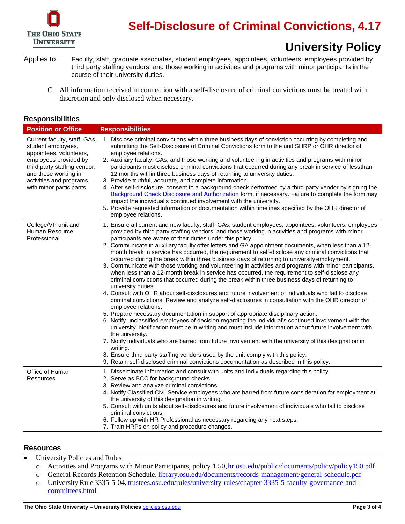

# **Self-Disclosure of Criminal Convictions, 4.17**

# **University Policy**

 third party staffing vendors, and those working in activities and programs with minor participants in the Applies to: Faculty, staff, graduate associates, student employees, appointees, volunteers, employees provided by course of their university duties.

 C. All information received in connection with a self-disclosure of criminal convictions must be treated with discretion and only disclosed when necessary.

#### **Responsibilities**

| <b>Position or Office</b>                                                                                                                                                                                            | <b>Responsibilities</b>                                                                                                                                                                                                                                                                                                                                                                                                                                                                                                                                                                                                                                                                                                                                                                                                                                                                                                                                                                                                                                                                                                                                                                                                                                                                                                                                                                                                                                                                                                                                                                                                                                                                                                                                                                             |
|----------------------------------------------------------------------------------------------------------------------------------------------------------------------------------------------------------------------|-----------------------------------------------------------------------------------------------------------------------------------------------------------------------------------------------------------------------------------------------------------------------------------------------------------------------------------------------------------------------------------------------------------------------------------------------------------------------------------------------------------------------------------------------------------------------------------------------------------------------------------------------------------------------------------------------------------------------------------------------------------------------------------------------------------------------------------------------------------------------------------------------------------------------------------------------------------------------------------------------------------------------------------------------------------------------------------------------------------------------------------------------------------------------------------------------------------------------------------------------------------------------------------------------------------------------------------------------------------------------------------------------------------------------------------------------------------------------------------------------------------------------------------------------------------------------------------------------------------------------------------------------------------------------------------------------------------------------------------------------------------------------------------------------------|
| Current faculty, staff, GAs,<br>student employees,<br>appointees, volunteers,<br>employees provided by<br>third party staffing vendor,<br>and those working in<br>activities and programs<br>with minor participants | 1. Disclose criminal convictions within three business days of conviction occurring by completing and<br>submitting the Self-Disclosure of Criminal Convictions form to the unit SHRP or OHR director of<br>employee relations.<br>2. Auxiliary faculty, GAs, and those working and volunteering in activities and programs with minor<br>participants must disclose criminal convictions that occurred during any break in service of lessthan<br>12 months within three business days of returning to university duties.<br>3. Provide truthful, accurate, and complete information.<br>4. After self-disclosure, consent to a background check performed by a third party vendor by signing the<br>Background Check Disclosure and Authorization form, if necessary. Failure to complete the form may<br>impact the individual's continued involvement with the university.<br>5. Provide requested information or documentation within timelines specified by the OHR director of<br>employee relations.                                                                                                                                                                                                                                                                                                                                                                                                                                                                                                                                                                                                                                                                                                                                                                                        |
| College/VP unit and<br>Human Resource<br>Professional                                                                                                                                                                | 1. Ensure all current and new faculty, staff, GAs, student employees, appointees, volunteers, employees<br>provided by third party staffing vendors, and those working in activities and programs with minor<br>participants are aware of their duties under this policy.<br>2. Communicate in auxiliary faculty offer letters and GA appointment documents, when less than a 12-<br>month break in service has occurred, the requirement to self-disclose any criminal convictions that<br>occurred during the break within three business days of returning to university employment.<br>3. Communicate with those working and volunteering in activities and programs with minor participants,<br>when less than a 12-month break in service has occurred, the requirement to self-disclose any<br>criminal convictions that occurred during the break within three business days of returning to<br>university duties.<br>4. Consult with OHR about self-disclosures and future involvement of individuals who fail to disclose<br>criminal convictions. Review and analyze self-disclosures in consultation with the OHR director of<br>employee relations.<br>5. Prepare necessary documentation in support of appropriate disciplinary action.<br>6. Notify unclassified employees of decision regarding the individual's continued involvement with the<br>university. Notification must be in writing and must include information about future involvement with<br>the university.<br>7. Notify individuals who are barred from future involvement with the university of this designation in<br>writing.<br>8. Ensure third party staffing vendors used by the unit comply with this policy.<br>9. Retain self-disclosed criminal convictions documentation as described in this policy. |
| Office of Human<br>Resources                                                                                                                                                                                         | 1. Disseminate information and consult with units and individuals regarding this policy.<br>2. Serve as BCC for background checks.<br>3. Review and analyze criminal convictions.<br>4. Notify Classified Civil Service employees who are barred from future consideration for employment at<br>the university of this designation in writing.<br>5. Consult with units about self-disclosures and future involvement of individuals who fail to disclose<br>criminal convictions.<br>6. Follow up with HR Professional as necessary regarding any next steps.<br>7. Train HRPs on policy and procedure changes.                                                                                                                                                                                                                                                                                                                                                                                                                                                                                                                                                                                                                                                                                                                                                                                                                                                                                                                                                                                                                                                                                                                                                                                    |

#### **Resources**

- University Policies and Rules •
	- o Activities and Programs with Minor Participants, policy 1.50, hr.osu.edu/public/documents/policy/policy150.pdf
	- o General Records Retention Schedule[, library.osu.edu/documents/records-management/general-schedule.pdf](http://library.osu.edu/documents/records-management/general-schedule.pdf)
	- o University Rule 3335-5-04, [trustees.osu.edu/rules/university-rules/chapter-3335-5-faculty-governance-and](http://trustees.osu.edu/rules/university-rules/chapter-3335-5-faculty-governance-and-committees.html)[committees.html](http://trustees.osu.edu/rules/university-rules/chapter-3335-5-faculty-governance-and-committees.html)